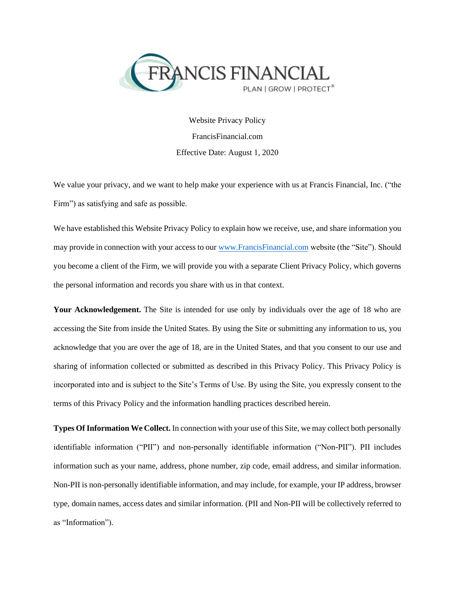

Website Privacy Policy FrancisFinancial.com Effective Date: August 1, 2020

We value your privacy, and we want to help make your experience with us at Francis Financial, Inc. ("the Firm") as satisfying and safe as possible.

We have established this Website Privacy Policy to explain how we receive, use, and share information you may provide in connection with your access to our [www.FrancisFinancial.com](http://www.francisfinancial.com/) website (the "Site"). Should you become a client of the Firm, we will provide you with a separate Client Privacy Policy, which governs the personal information and records you share with us in that context.

**Your Acknowledgement.** The Site is intended for use only by individuals over the age of 18 who are accessing the Site from inside the United States. By using the Site or submitting any information to us, you acknowledge that you are over the age of 18, are in the United States, and that you consent to our use and sharing of information collected or submitted as described in this Privacy Policy. This Privacy Policy is incorporated into and is subject to the Site's Terms of Use. By using the Site, you expressly consent to the terms of this Privacy Policy and the information handling practices described herein.

**Types Of Information We Collect.** In connection with your use of this Site, we may collect both personally identifiable information ("PII") and non-personally identifiable information ("Non-PII"). PII includes information such as your name, address, phone number, zip code, email address, and similar information. Non-PII is non-personally identifiable information, and may include, for example, your IP address, browser type, domain names, access dates and similar information. (PII and Non-PII will be collectively referred to as "Information").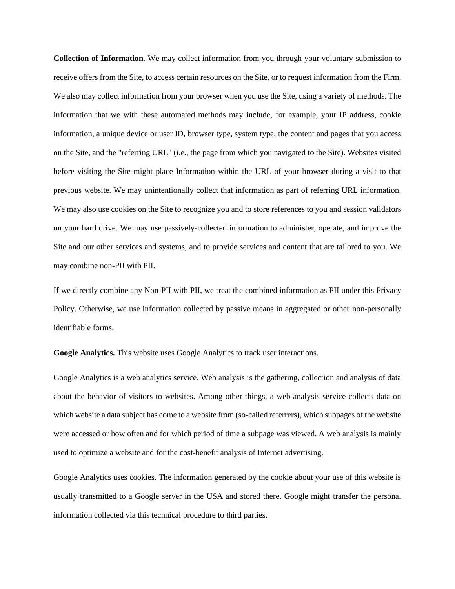**Collection of Information.** We may collect information from you through your voluntary submission to receive offers from the Site, to access certain resources on the Site, or to request information from the Firm. We also may collect information from your browser when you use the Site, using a variety of methods. The information that we with these automated methods may include, for example, your IP address, cookie information, a unique device or user ID, browser type, system type, the content and pages that you access on the Site, and the "referring URL" (i.e., the page from which you navigated to the Site). Websites visited before visiting the Site might place Information within the URL of your browser during a visit to that previous website. We may unintentionally collect that information as part of referring URL information. We may also use cookies on the Site to recognize you and to store references to you and session validators on your hard drive. We may use passively-collected information to administer, operate, and improve the Site and our other services and systems, and to provide services and content that are tailored to you. We may combine non-PII with PII.

If we directly combine any Non-PII with PII, we treat the combined information as PII under this Privacy Policy. Otherwise, we use information collected by passive means in aggregated or other non-personally identifiable forms.

**Google Analytics.** This website uses Google Analytics to track user interactions.

Google Analytics is a web analytics service. Web analysis is the gathering, collection and analysis of data about the behavior of visitors to websites. Among other things, a web analysis service collects data on which website a data subject has come to a website from (so-called referrers), which subpages of the website were accessed or how often and for which period of time a subpage was viewed. A web analysis is mainly used to optimize a website and for the cost-benefit analysis of Internet advertising.

Google Analytics uses cookies. The information generated by the cookie about your use of this website is usually transmitted to a Google server in the USA and stored there. Google might transfer the personal information collected via this technical procedure to third parties.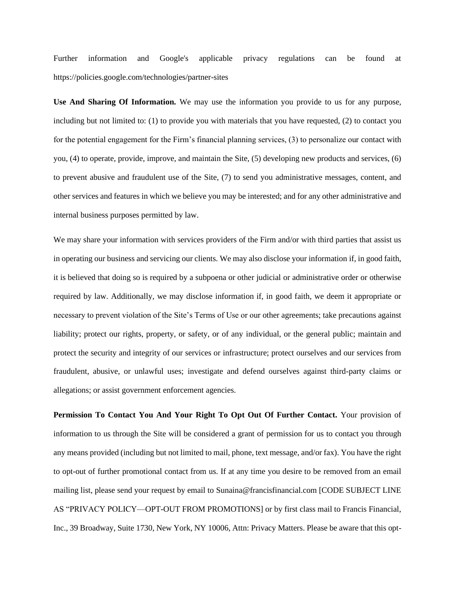Further information and Google's applicable privacy regulations can be found at https://policies.google.com/technologies/partner-sites

**Use And Sharing Of Information.** We may use the information you provide to us for any purpose, including but not limited to: (1) to provide you with materials that you have requested, (2) to contact you for the potential engagement for the Firm's financial planning services, (3) to personalize our contact with you, (4) to operate, provide, improve, and maintain the Site, (5) developing new products and services, (6) to prevent abusive and fraudulent use of the Site, (7) to send you administrative messages, content, and other services and features in which we believe you may be interested; and for any other administrative and internal business purposes permitted by law.

We may share your information with services providers of the Firm and/or with third parties that assist us in operating our business and servicing our clients. We may also disclose your information if, in good faith, it is believed that doing so is required by a subpoena or other judicial or administrative order or otherwise required by law. Additionally, we may disclose information if, in good faith, we deem it appropriate or necessary to prevent violation of the Site's Terms of Use or our other agreements; take precautions against liability; protect our rights, property, or safety, or of any individual, or the general public; maintain and protect the security and integrity of our services or infrastructure; protect ourselves and our services from fraudulent, abusive, or unlawful uses; investigate and defend ourselves against third-party claims or allegations; or assist government enforcement agencies.

**Permission To Contact You And Your Right To Opt Out Of Further Contact.** Your provision of information to us through the Site will be considered a grant of permission for us to contact you through any means provided (including but not limited to mail, phone, text message, and/or fax). You have the right to opt-out of further promotional contact from us. If at any time you desire to be removed from an email mailing list, please send your request by email to Sunaina@francisfinancial.com [CODE SUBJECT LINE AS "PRIVACY POLICY—OPT-OUT FROM PROMOTIONS] or by first class mail to Francis Financial, Inc., 39 Broadway, Suite 1730, New York, NY 10006, Attn: Privacy Matters. Please be aware that this opt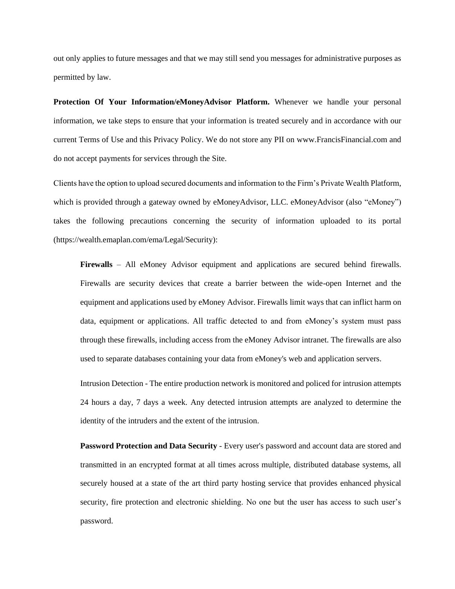out only applies to future messages and that we may still send you messages for administrative purposes as permitted by law.

**Protection Of Your Information/eMoneyAdvisor Platform.** Whenever we handle your personal information, we take steps to ensure that your information is treated securely and in accordance with our current Terms of Use and this Privacy Policy. We do not store any PII on www.FrancisFinancial.com and do not accept payments for services through the Site.

Clients have the option to upload secured documents and information to the Firm's Private Wealth Platform, which is provided through a gateway owned by eMoneyAdvisor, LLC. eMoneyAdvisor (also "eMoney") takes the following precautions concerning the security of information uploaded to its portal (https://wealth.emaplan.com/ema/Legal/Security):

**Firewalls** – All eMoney Advisor equipment and applications are secured behind firewalls. Firewalls are security devices that create a barrier between the wide-open Internet and the equipment and applications used by eMoney Advisor. Firewalls limit ways that can inflict harm on data, equipment or applications. All traffic detected to and from eMoney's system must pass through these firewalls, including access from the eMoney Advisor intranet. The firewalls are also used to separate databases containing your data from eMoney's web and application servers.

Intrusion Detection - The entire production network is monitored and policed for intrusion attempts 24 hours a day, 7 days a week. Any detected intrusion attempts are analyzed to determine the identity of the intruders and the extent of the intrusion.

**Password Protection and Data Security** - Every user's password and account data are stored and transmitted in an encrypted format at all times across multiple, distributed database systems, all securely housed at a state of the art third party hosting service that provides enhanced physical security, fire protection and electronic shielding. No one but the user has access to such user's password.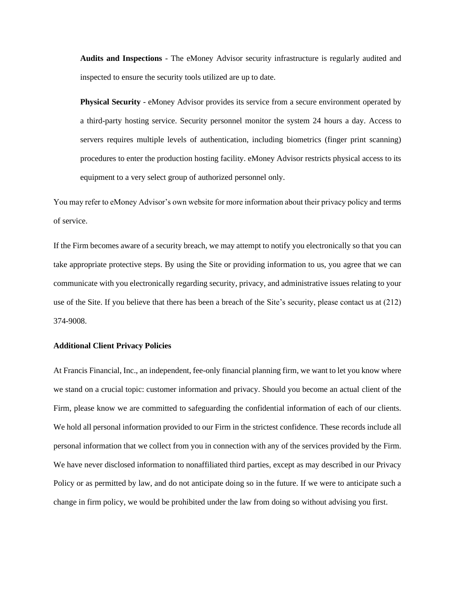**Audits and Inspections** - The eMoney Advisor security infrastructure is regularly audited and inspected to ensure the security tools utilized are up to date.

**Physical Security** - eMoney Advisor provides its service from a secure environment operated by a third-party hosting service. Security personnel monitor the system 24 hours a day. Access to servers requires multiple levels of authentication, including biometrics (finger print scanning) procedures to enter the production hosting facility. eMoney Advisor restricts physical access to its equipment to a very select group of authorized personnel only.

You may refer to eMoney Advisor's own website for more information about their privacy policy and terms of service.

If the Firm becomes aware of a security breach, we may attempt to notify you electronically so that you can take appropriate protective steps. By using the Site or providing information to us, you agree that we can communicate with you electronically regarding security, privacy, and administrative issues relating to your use of the Site. If you believe that there has been a breach of the Site's security, please contact us at (212) 374-9008.

## **Additional Client Privacy Policies**

At Francis Financial, Inc., an independent, fee-only financial planning firm, we want to let you know where we stand on a crucial topic: customer information and privacy. Should you become an actual client of the Firm, please know we are committed to safeguarding the confidential information of each of our clients. We hold all personal information provided to our Firm in the strictest confidence. These records include all personal information that we collect from you in connection with any of the services provided by the Firm. We have never disclosed information to nonaffiliated third parties, except as may described in our Privacy Policy or as permitted by law, and do not anticipate doing so in the future. If we were to anticipate such a change in firm policy, we would be prohibited under the law from doing so without advising you first.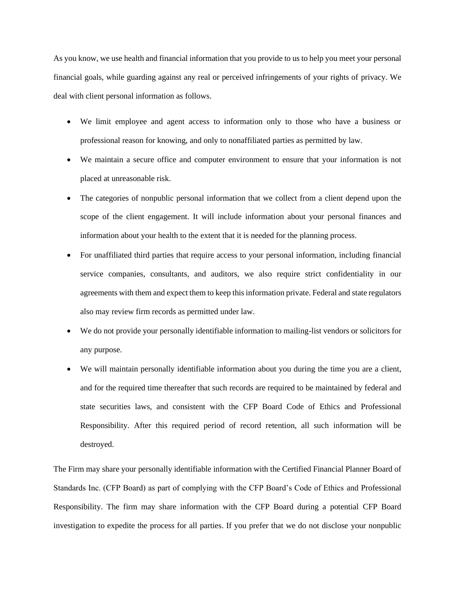As you know, we use health and financial information that you provide to us to help you meet your personal financial goals, while guarding against any real or perceived infringements of your rights of privacy. We deal with client personal information as follows.

- We limit employee and agent access to information only to those who have a business or professional reason for knowing, and only to nonaffiliated parties as permitted by law.
- We maintain a secure office and computer environment to ensure that your information is not placed at unreasonable risk.
- The categories of nonpublic personal information that we collect from a client depend upon the scope of the client engagement. It will include information about your personal finances and information about your health to the extent that it is needed for the planning process.
- For unaffiliated third parties that require access to your personal information, including financial service companies, consultants, and auditors, we also require strict confidentiality in our agreements with them and expect them to keep this information private. Federal and state regulators also may review firm records as permitted under law.
- We do not provide your personally identifiable information to mailing-list vendors or solicitors for any purpose.
- We will maintain personally identifiable information about you during the time you are a client, and for the required time thereafter that such records are required to be maintained by federal and state securities laws, and consistent with the CFP Board Code of Ethics and Professional Responsibility. After this required period of record retention, all such information will be destroyed.

The Firm may share your personally identifiable information with the Certified Financial Planner Board of Standards Inc. (CFP Board) as part of complying with the CFP Board's Code of Ethics and Professional Responsibility. The firm may share information with the CFP Board during a potential CFP Board investigation to expedite the process for all parties. If you prefer that we do not disclose your nonpublic